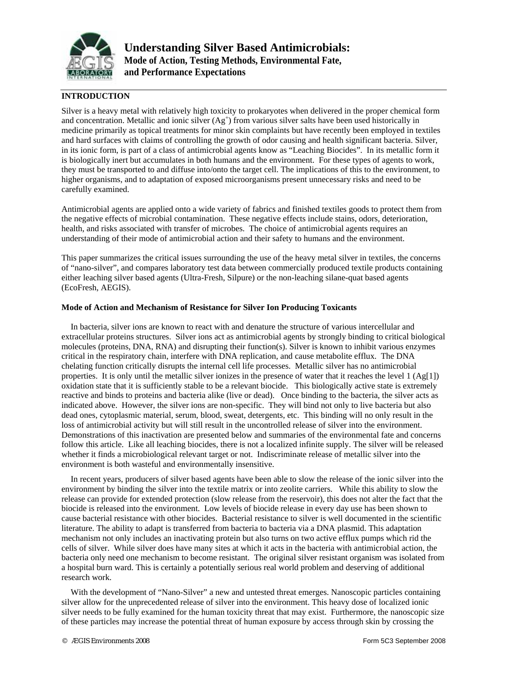

# **INTRODUCTION**

Silver is a heavy metal with relatively high toxicity to prokaryotes when delivered in the proper chemical form and concentration. Metallic and ionic silver  $(Ag^+)$  from various silver salts have been used historically in medicine primarily as topical treatments for minor skin complaints but have recently been employed in textiles and hard surfaces with claims of controlling the growth of odor causing and health significant bacteria. Silver, in its ionic form, is part of a class of antimicrobial agents know as "Leaching Biocides". In its metallic form it is biologically inert but accumulates in both humans and the environment. For these types of agents to work, they must be transported to and diffuse into/onto the target cell. The implications of this to the environment, to higher organisms, and to adaptation of exposed microorganisms present unnecessary risks and need to be carefully examined.

Antimicrobial agents are applied onto a wide variety of fabrics and finished textiles goods to protect them from the negative effects of microbial contamination. These negative effects include stains, odors, deterioration, health, and risks associated with transfer of microbes. The choice of antimicrobial agents requires an understanding of their mode of antimicrobial action and their safety to humans and the environment.

This paper summarizes the critical issues surrounding the use of the heavy metal silver in textiles, the concerns of "nano-silver", and compares laboratory test data between commercially produced textile products containing either leaching silver based agents (Ultra-Fresh, Silpure) or the non-leaching silane-quat based agents (EcoFresh, AEGIS).

### **Mode of Action and Mechanism of Resistance for Silver Ion Producing Toxicants**

In bacteria, silver ions are known to react with and denature the structure of various intercellular and extracellular proteins structures. Silver ions act as antimicrobial agents by strongly binding to critical biological molecules (proteins, DNA, RNA) and disrupting their function(s). Silver is known to inhibit various enzymes critical in the respiratory chain, interfere with DNA replication, and cause metabolite efflux. The DNA chelating function critically disrupts the internal cell life processes. Metallic silver has no antimicrobial properties. It is only until the metallic silver ionizes in the presence of water that it reaches the level  $1 (Ag[1])$ oxidation state that it is sufficiently stable to be a relevant biocide. This biologically active state is extremely reactive and binds to proteins and bacteria alike (live or dead). Once binding to the bacteria, the silver acts as indicated above. However, the silver ions are non-specific. They will bind not only to live bacteria but also dead ones, cytoplasmic material, serum, blood, sweat, detergents, etc. This binding will no only result in the loss of antimicrobial activity but will still result in the uncontrolled release of silver into the environment. Demonstrations of this inactivation are presented below and summaries of the environmental fate and concerns follow this article. Like all leaching biocides, there is not a localized infinite supply. The silver will be released whether it finds a microbiological relevant target or not. Indiscriminate release of metallic silver into the environment is both wasteful and environmentally insensitive.

In recent years, producers of silver based agents have been able to slow the release of the ionic silver into the environment by binding the silver into the textile matrix or into zeolite carriers. While this ability to slow the release can provide for extended protection (slow release from the reservoir), this does not alter the fact that the biocide is released into the environment. Low levels of biocide release in every day use has been shown to cause bacterial resistance with other biocides. Bacterial resistance to silver is well documented in the scientific literature. The ability to adapt is transferred from bacteria to bacteria via a DNA plasmid. This adaptation mechanism not only includes an inactivating protein but also turns on two active efflux pumps which rid the cells of silver. While silver does have many sites at which it acts in the bacteria with antimicrobial action, the bacteria only need one mechanism to become resistant. The original silver resistant organism was isolated from a hospital burn ward. This is certainly a potentially serious real world problem and deserving of additional research work.

With the development of "Nano-Silver" a new and untested threat emerges. Nanoscopic particles containing silver allow for the unprecedented release of silver into the environment. This heavy dose of localized ionic silver needs to be fully examined for the human toxicity threat that may exist. Furthermore, the nanoscopic size of these particles may increase the potential threat of human exposure by access through skin by crossing the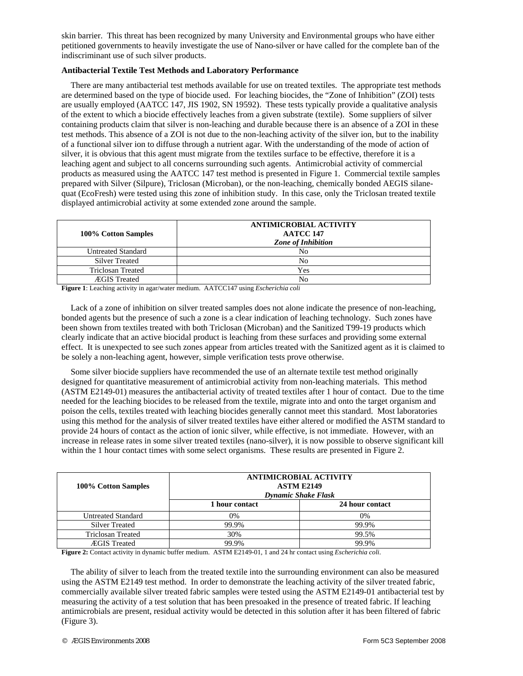skin barrier. This threat has been recognized by many University and Environmental groups who have either petitioned governments to heavily investigate the use of Nano-silver or have called for the complete ban of the indiscriminant use of such silver products.

## **Antibacterial Textile Test Methods and Laboratory Performance**

There are many antibacterial test methods available for use on treated textiles. The appropriate test methods are determined based on the type of biocide used. For leaching biocides, the "Zone of Inhibition" (ZOI) tests are usually employed (AATCC 147, JIS 1902, SN 19592). These tests typically provide a qualitative analysis of the extent to which a biocide effectively leaches from a given substrate (textile). Some suppliers of silver containing products claim that silver is non-leaching and durable because there is an absence of a ZOI in these test methods. This absence of a ZOI is not due to the non-leaching activity of the silver ion, but to the inability of a functional silver ion to diffuse through a nutrient agar. With the understanding of the mode of action of silver, it is obvious that this agent must migrate from the textiles surface to be effective, therefore it is a leaching agent and subject to all concerns surrounding such agents. Antimicrobial activity of commercial products as measured using the AATCC 147 test method is presented in Figure 1. Commercial textile samples prepared with Silver (Silpure), Triclosan (Microban), or the non-leaching, chemically bonded AEGIS silanequat (EcoFresh) were tested using this zone of inhibition study. In this case, only the Triclosan treated textile displayed antimicrobial activity at some extended zone around the sample.

| 100% Cotton Samples       | <b>ANTIMICROBIAL ACTIVITY</b><br><b>AATCC 147</b><br><b>Zone of Inhibition</b> |  |
|---------------------------|--------------------------------------------------------------------------------|--|
| <b>Untreated Standard</b> | No.                                                                            |  |
| <b>Silver Treated</b>     | No                                                                             |  |
| <b>Triclosan Treated</b>  | Yes                                                                            |  |
| <b>ÆGIS</b> Treated       | N٥                                                                             |  |

**Figure 1**: Leaching activity in agar/water medium. AATCC147 using *Escherichia coli*

Lack of a zone of inhibition on silver treated samples does not alone indicate the presence of non-leaching, bonded agents but the presence of such a zone is a clear indication of leaching technology. Such zones have been shown from textiles treated with both Triclosan (Microban) and the Sanitized T99-19 products which clearly indicate that an active biocidal product is leaching from these surfaces and providing some external effect. It is unexpected to see such zones appear from articles treated with the Sanitized agent as it is claimed to be solely a non-leaching agent, however, simple verification tests prove otherwise.

Some silver biocide suppliers have recommended the use of an alternate textile test method originally designed for quantitative measurement of antimicrobial activity from non-leaching materials. This method (ASTM E2149-01) measures the antibacterial activity of treated textiles after 1 hour of contact. Due to the time needed for the leaching biocides to be released from the textile, migrate into and onto the target organism and poison the cells, textiles treated with leaching biocides generally cannot meet this standard. Most laboratories using this method for the analysis of silver treated textiles have either altered or modified the ASTM standard to provide 24 hours of contact as the action of ionic silver, while effective, is not immediate. However, with an increase in release rates in some silver treated textiles (nano-silver), it is now possible to observe significant kill within the 1 hour contact times with some select organisms. These results are presented in Figure 2.

| 100% Cotton Samples       | <b>ANTIMICROBIAL ACTIVITY</b><br><b>ASTM E2149</b><br><b>Dynamic Shake Flask</b> |                 |  |
|---------------------------|----------------------------------------------------------------------------------|-----------------|--|
|                           | 1 hour contact                                                                   | 24 hour contact |  |
| <b>Untreated Standard</b> | 0%                                                                               | 0%              |  |
| <b>Silver Treated</b>     | 99.9%                                                                            | 99.9%           |  |
| <b>Triclosan Treated</b>  | 30%                                                                              | 99.5%           |  |
| <b>ÆGIS</b> Treated       | 99.9%                                                                            | 99.9%           |  |

**Figure 2:** Contact activity in dynamic buffer medium. ASTM E2149-01, 1 and 24 hr contact using *Escherichia coli*.

The ability of silver to leach from the treated textile into the surrounding environment can also be measured using the ASTM E2149 test method. In order to demonstrate the leaching activity of the silver treated fabric, commercially available silver treated fabric samples were tested using the ASTM E2149-01 antibacterial test by measuring the activity of a test solution that has been presoaked in the presence of treated fabric. If leaching antimicrobials are present, residual activity would be detected in this solution after it has been filtered of fabric (Figure 3).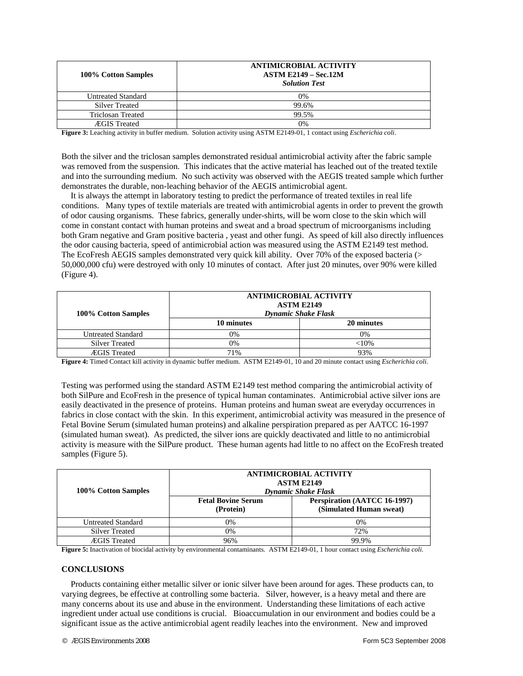| 100% Cotton Samples       | <b>ANTIMICROBIAL ACTIVITY</b><br><b>ASTM E2149 – Sec.12M</b><br><b>Solution Test</b> |  |
|---------------------------|--------------------------------------------------------------------------------------|--|
| <b>Untreated Standard</b> | 0%                                                                                   |  |
| <b>Silver Treated</b>     | 99.6%                                                                                |  |
| <b>Triclosan Treated</b>  | 99.5%                                                                                |  |
| <b>ÆGIS</b> Treated       | 0%                                                                                   |  |

**Figure 3:** Leaching activity in buffer medium. Solution activity using ASTM E2149-01, 1 contact using *Escherichia coli*.

Both the silver and the triclosan samples demonstrated residual antimicrobial activity after the fabric sample was removed from the suspension. This indicates that the active material has leached out of the treated textile and into the surrounding medium. No such activity was observed with the AEGIS treated sample which further demonstrates the durable, non-leaching behavior of the AEGIS antimicrobial agent.

It is always the attempt in laboratory testing to predict the performance of treated textiles in real life conditions. Many types of textile materials are treated with antimicrobial agents in order to prevent the growth of odor causing organisms. These fabrics, generally under-shirts, will be worn close to the skin which will come in constant contact with human proteins and sweat and a broad spectrum of microorganisms including both Gram negative and Gram positive bacteria , yeast and other fungi. As speed of kill also directly influences the odor causing bacteria, speed of antimicrobial action was measured using the ASTM E2149 test method. The EcoFresh AEGIS samples demonstrated very quick kill ability. Over 70% of the exposed bacteria  $($ 50,000,000 cfu) were destroyed with only 10 minutes of contact. After just 20 minutes, over 90% were killed (Figure 4).

| 100% Cotton Samples       | <b>ANTIMICROBIAL ACTIVITY</b><br><b>ASTM E2149</b><br><b>Dynamic Shake Flask</b> |            |
|---------------------------|----------------------------------------------------------------------------------|------------|
|                           | 10 minutes                                                                       | 20 minutes |
| <b>Untreated Standard</b> | 0%                                                                               | $0\%$      |
| <b>Silver Treated</b>     | $0\%$                                                                            | ${<}10%$   |
| <b>ÆGIS</b> Treated       | 71%                                                                              | 93%        |

**Figure 4:** Timed Contact kill activity in dynamic buffer medium. ASTM E2149-01, 10 and 20 minute contact using *Escherichia coli*.

Testing was performed using the standard ASTM E2149 test method comparing the antimicrobial activity of both SilPure and EcoFresh in the presence of typical human contaminates. Antimicrobial active silver ions are easily deactivated in the presence of proteins. Human proteins and human sweat are everyday occurrences in fabrics in close contact with the skin. In this experiment, antimicrobial activity was measured in the presence of Fetal Bovine Serum (simulated human proteins) and alkaline perspiration prepared as per AATCC 16-1997 (simulated human sweat). As predicted, the silver ions are quickly deactivated and little to no antimicrobial activity is measure with the SilPure product. These human agents had little to no affect on the EcoFresh treated samples (Figure 5).

| 100% Cotton Samples       | <b>ANTIMICROBIAL ACTIVITY</b><br><b>ASTM E2149</b><br><b>Dynamic Shake Flask</b> |                                                         |
|---------------------------|----------------------------------------------------------------------------------|---------------------------------------------------------|
|                           | <b>Fetal Bovine Serum</b><br>(Protein)                                           | Perspiration (AATCC 16-1997)<br>(Simulated Human sweat) |
| <b>Untreated Standard</b> | 0%                                                                               | 0%                                                      |
| <b>Silver Treated</b>     | 0%                                                                               | 72%                                                     |
| <b>ÆGIS</b> Treated       | 96%                                                                              | 99.9%                                                   |

**Figure 5:** Inactivation of biocidal activity by environmental contaminants. ASTM E2149-01, 1 hour contact using *Escherichia coli*.

#### **CONCLUSIONS**

Products containing either metallic silver or ionic silver have been around for ages. These products can, to varying degrees, be effective at controlling some bacteria. Silver, however, is a heavy metal and there are many concerns about its use and abuse in the environment. Understanding these limitations of each active ingredient under actual use conditions is crucial. Bioaccumulation in our environment and bodies could be a significant issue as the active antimicrobial agent readily leaches into the environment. New and improved